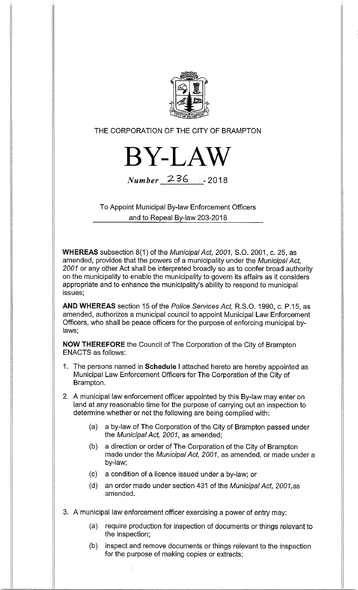

THE CORPORATION OF THE CITY OF BRAMPTON



Number 236 -2018

To Appoint Municipal By-law Enforcement Officers and to Repeal By-law 203-2018

WHEREAS subsection 8(1) of the Municipal Act, 2001, S.O. 2001, c. 25, as amended, provides that the powers of a municipality under the Municipal Act, 2001 or any other Act shall be interpreted broadly so as to confer broad authority on the municipality to enable the municipality to govern its affairs as it considers appropriate and to enhance the municipality's ability to respond to municipal issues;

AND WHEREAS section 15 of the Police Services Act, R.S.O. 1990, c. P.15, as amended, authorizes a municipal council to appoint Municipal Law Enforcement Officers, who shall be peace officers for the purpose of enforcing municipal bylaws;

NOW THEREFORE the Council of The Corporation of the City of Brampton ENACTS as follows:

- 1. The persons named in Schedule I attached hereto are hereby appointed as Municipal Law Enforcement Officers for The Corporation of the City of Brampton.
- 2. A municipal law enforcement officer appointed by this By-law may enter on land at any reasonable time for the purpose of carrying out an inspection to determine whether or not the following are being complied with:
	- (a) a by-law of The Corporation of the City of Brampton passed under the Municipal Act, 2001, as amended;
	- (b) a direction or order of The Corporation of the City of Brampton made under the Municipal Act, 2001, as amended, or made under a by-law;
	- (c) a condition of a licence issued under a by-law; or
	- (d) an order made under section 431 of the Municipal Act, 2001,as amended.
- 3. A municipal law enforcement officer exercising a power of entry may:
	- (a) require production for inspection of documents or things relevant to the inspection;
	- (b) inspect and remove documents or things relevant to the inspection for the purpose of making copies or extracts;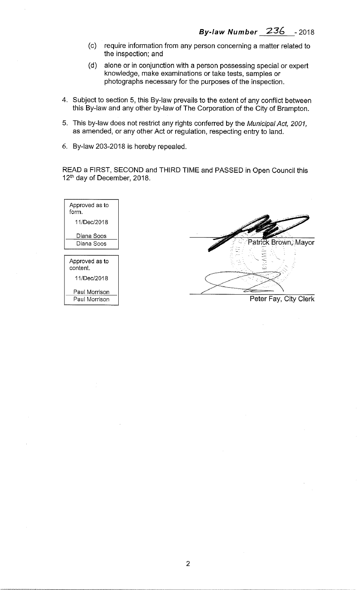- (c) require information from any person concerning a matter related to the inspection; and
- (d) alone or in conjunction with a person possessing special or expert knowledge, make examinations or take tests, samples or photographs necessary for the purposes of the inspection.
- 4. Subject to section 5, this By-law prevails to the extent of any conflict between this By-law and any other by-law of The Corporation of the City of Brampton.
- 5. This by-law does not restrict any rights conferred by the Municipal Act, 2001, as amended, or any other Act or regulation, respecting entry to land.
- 6. By-law 203-2018 is hereby repealed.

READ a FIRST, SECOND and THIRD TIME and PASSED in Open Council this 12<sup>th</sup> day of December, 2018.

| Approved as to<br>form.    |                       |
|----------------------------|-----------------------|
| 11/Dec/2018                |                       |
| Diana Soos                 |                       |
| Diana Soos                 | Patrick Brown, Mayor  |
|                            |                       |
| Approved as to<br>content. | -55                   |
| 11/Dec/2018                |                       |
| Paul Morrison              |                       |
| Paul Morrison              | Peter Fay, City Clerk |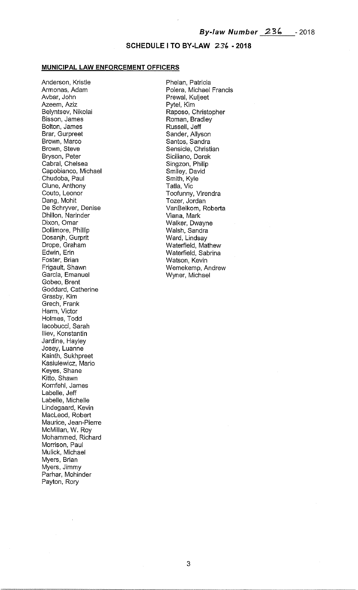## SCHEDULE I TO BY-LAW 236 - 2018

## MUNICIPAL LAW ENFORCEMENT OFFICERS

Anderson, Kristie Armonas, Adam Avbar, John Azeem, Aziz Belyntsev, Nikolai Bisson, James Bolton, James Brar, Gurpreet Brown, Marco Brown, Steve Bryson, Peter Cabral, Chelsea Capobianco, Michael Chudoba, Paul Clune, Anthony Couto, Leonor Dang, Mohit De Schryver, Denise Dhillon, Narinder Dixon, Omar Dollimore, Phillip Dosanjh, Gurprit Drope, Graham Edwin, Erin Foster, Brian Frigault, Shawn Garcia, Emanuel Gobeo, Brent Goddard, Catherine Grasby, Kim Grech, Frank Harm, Victor Holmes, Todd lacobucci, Sarah Iliev, Konstantin Jardine, Hayley Josey, Luanne Kainth, Sukhpreet Kasiulewicz, Mario Keyes, Shane Kitto, Shawn Kornfehl, James Labelle, Jeff Labelle, Michelle Lindegaard, Kevin MacLeod, Robert Maurice, Jean-Pierre McMillan, W. Roy Mohammed, Richard Morrison, Paul Mulick, Michael Myers, Brian Myers, Jimmy Parhar, Mohinder Payton, Rory

Phelan, Patricia Polera, Michael Francis Prewal, Kuljeet Pytel, Kim Raposo, Christopher Roman, Bradley Russell, Jeff Sander, Allyson Santos, Sandra Sensicle, Christian Siciliano, Derek Singzon, Philip Smiley, David Smith, Kyle Tatla, Vic Toofunny, Virendra Tozer, Jordan VanBelkom, Roberta Viana, Mark Walker, Dwayne Walsh, Sandra Ward, Lindsay Waterfield, Mathew Waterfield, Sabrina Watson, Kevin Wemekemp, Andrew Wyner, Michael